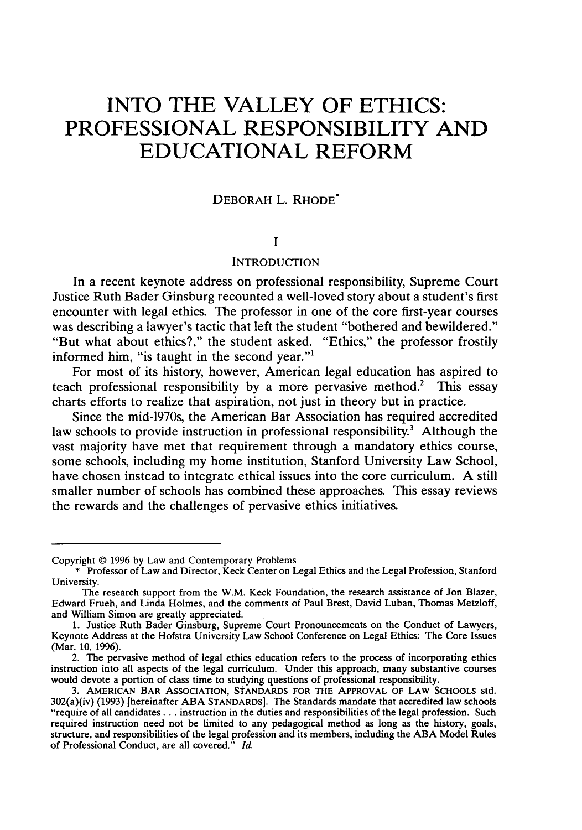# **INTO THE VALLEY OF ETHICS: PROFESSIONAL RESPONSIBILITY AND EDUCATIONAL REFORM**

# DEBORAH L. RHODE\*

# **I**

# **INTRODUCTION**

In a recent keynote address on professional responsibility, Supreme Court Justice Ruth Bader Ginsburg recounted a well-loved story about a student's first encounter with legal ethics. The professor in one of the core first-year courses was describing a lawyer's tactic that left the student "bothered and bewildered." "But what about ethics?," the student asked. "Ethics," the professor frostily informed him, "is taught in the second year."1

For most of its history, however, American legal education has aspired to teach professional responsibility by a more pervasive method.<sup>2</sup> This essay charts efforts to realize that aspiration, not just in theory but in practice.

Since the mid-1970s, the American Bar Association has required accredited law schools to provide instruction in professional responsibility.<sup>3</sup> Although the vast majority have met that requirement through a mandatory ethics course, some schools, including my home institution, Stanford University Law School, have chosen instead to integrate ethical issues into the core curriculum. A still smaller number of schools has combined these approaches. This essay reviews the rewards and the challenges of pervasive ethics initiatives.

Copyright © 1996 by Law and Contemporary Problems

<sup>\*</sup> Professor of Law and Director, Keck Center on Legal Ethics and the Legal Profession, Stanford University.

The research support from the W.M. Keck Foundation, the research assistance of Jon Blazer, Edward Frueh, and Linda Holmes, and the comments of Paul Brest, David Luban, Thomas Metzloff, and William Simon are greatly appreciated.

<sup>1.</sup> Justice Ruth Bader Ginsburg, Supreme Court Pronouncements on the Conduct of Lawyers, Keynote Address at the Hofstra University Law School Conference on Legal Ethics: The Core Issues (Mar. 10, 1996).

<sup>2.</sup> The pervasive method of legal ethics education refers to the process of incorporating ethics instruction into all aspects of the legal curriculum. Under this approach, many substantive courses would devote a portion of class time to studying questions of professional responsibility.

<sup>3.</sup> **AMERICAN** BAR **ASSOCIATION, SfANDARDS** FOR THE APPROVAL OF LAW SCHOOLS std. 302(a)(iv) (1993) [hereinafter ABA **STANDARDS].** The Standards mandate that accredited law schools "require of all candidates... instruction in the duties and responsibilities of the legal profession. Such required instruction need not be limited to any pedagogical method as long as the history, goals, structure, and responsibilities of the legal profession and its members, including the ABA Model Rules of Professional Conduct, are all covered." *Id.*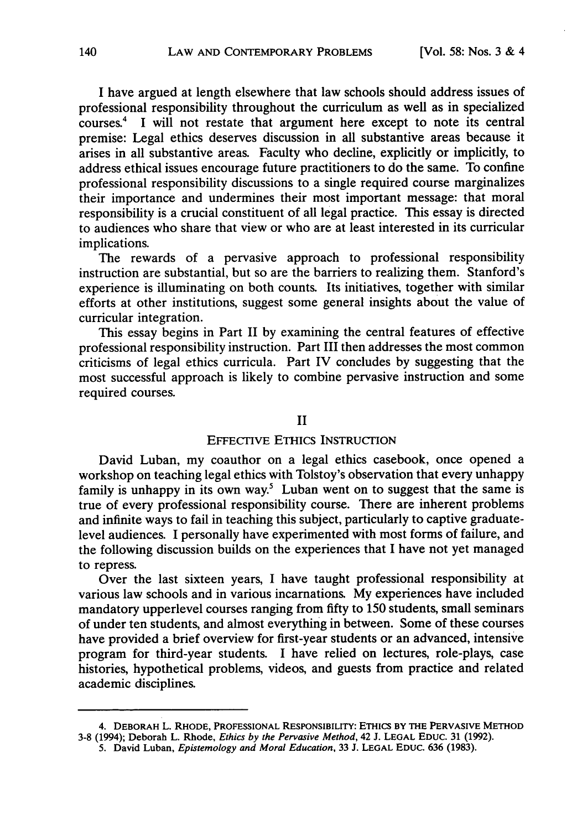I have argued at length elsewhere that law schools should address issues of professional responsibility throughout the curriculum as well as in specialized courses.4 I will not restate that argument here except to note its central premise: Legal ethics deserves discussion in all substantive areas because it arises in all substantive areas. Faculty who decline, explicitly or implicitly, to address ethical issues encourage future practitioners to do the same. To confine professional responsibility discussions to a single required course marginalizes their importance and undermines their most important message: that moral responsibility is a crucial constituent of all legal practice. This essay is directed to audiences who share that view or who are at least interested in its curricular implications.

The rewards of a pervasive approach to professional responsibility instruction are substantial, but so are the barriers to realizing them. Stanford's experience is illuminating on both counts. Its initiatives, together with similar efforts at other institutions, suggest some general insights about the value of curricular integration.

This essay begins in Part II by examining the central features of effective professional responsibility instruction. Part III then addresses the most common criticisms of legal ethics curricula. Part IV concludes by suggesting that the most successful approach is likely to combine pervasive instruction and some required courses.

# II

#### EFFECTIVE ETHICS INSTRUCTION

David Luban, my coauthor on a legal ethics casebook, once opened a workshop on teaching legal ethics with Tolstoy's observation that every unhappy family is unhappy in its own way.<sup>5</sup> Luban went on to suggest that the same is true of every professional responsibility course. There are inherent problems and infinite ways to fail in teaching this subject, particularly to captive graduatelevel audiences. I personally have experimented with most forms of failure, and the following discussion builds on the experiences that I have not yet managed to repress.

Over the last sixteen years, I have taught professional responsibility at various law schools and in various incarnations. My experiences have included mandatory upperlevel courses ranging from fifty to 150 students, small seminars of under ten students, and almost everything in between. Some of these courses have provided a brief overview for first-year students or an advanced, intensive program for third-year students. I have relied on lectures, role-plays, case histories, hypothetical problems, videos, and guests from practice and related academic disciplines.

<sup>4.</sup> **DEBORAH L. RHODE, PROFESSIONAL RESPONSIBILITY: ETHICS BY THE PERVASIVE** METHOD **3-8** (1994); Deborah L. Rhode, *Ethics by the Pervasive Method,* 42 **J. LEGAL EDUc. 31 (1992).**

**<sup>5.</sup>** David Luban, *Epistemology and Moral Education,* **33 J. LEGAL EDUC. 636 (1983).**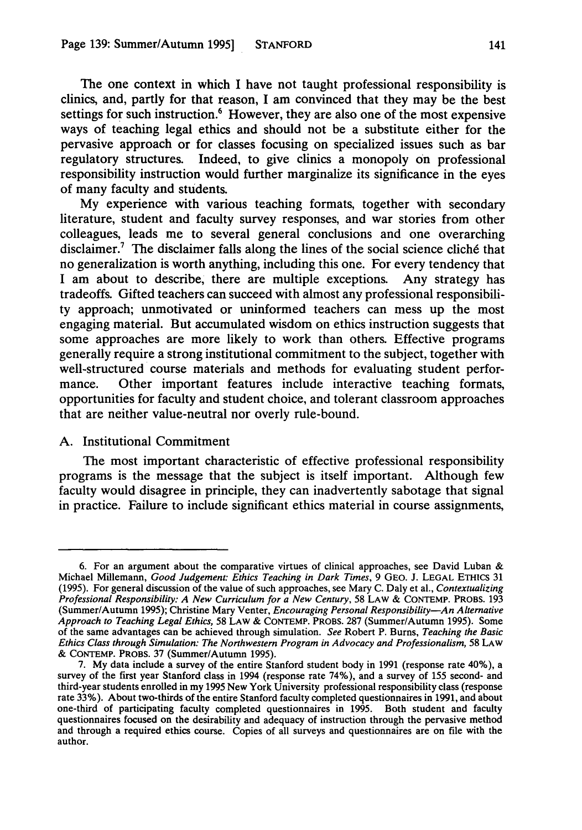The one context in which I have not taught professional responsibility is clinics, and, partly for that reason, I am convinced that they may be the best settings for such instruction.<sup>6</sup> However, they are also one of the most expensive ways of teaching legal ethics and should not be a substitute either for the pervasive approach or for classes focusing on specialized issues such as bar regulatory structures. Indeed, to give clinics a monopoly on professional responsibility instruction would further marginalize its significance in the eyes of many faculty and students.

My experience with various teaching formats, together with secondary literature, student and faculty survey responses, and war stories from other colleagues, leads me to several general conclusions and one overarching disclaimer.<sup>7</sup> The disclaimer falls along the lines of the social science cliché that no generalization is worth anything, including this one. For every tendency that I am about to describe, there are multiple exceptions. Any strategy has tradeoffs. Gifted teachers can succeed with almost any professional responsibility approach; unmotivated or uninformed teachers can mess up the most engaging material. But accumulated wisdom on ethics instruction suggests that some approaches are more likely to work than others. Effective programs generally require a strong institutional commitment to the subject, together with well-structured course materials and methods for evaluating student performance. Other important features include interactive teaching formats, opportunities for faculty and student choice, and tolerant classroom approaches that are neither value-neutral nor overly rule-bound.

# A. Institutional Commitment

The most important characteristic of effective professional responsibility programs is the message that the subject is itself important. Although few faculty would disagree in principle, they can inadvertently sabotage that signal in practice. Failure to include significant ethics material in course assignments,

<sup>6.</sup> For an argument about the comparative virtues of clinical approaches, see David Luban & Michael Millemann, Good *Judgement. Ethics Teaching in Dark Times,* 9 GEO. **J.** LEGAL ETHICS 31 (1995). For general discussion of the value of such approaches, see Mary C. Daly et al., *Contextualizing Professional Responsibility: A New Curriculum for a New Century,* 58 LAW & CONTEMP. PROBS. 193 (Summer/Autumn 1995); Christine Mary Venter, *Encouraging Personal Responsibility-An Alternative Approach to Teaching Legal Ethics,* 58 LAW & CONTEMP. PROBS. 287 (Summer/Autumn 1995). Some of the same advantages can be achieved through simulation. *See* Robert P. Burns, *Teaching the Basic Ethics Class through Simulation: The Northwestern Program in Advocacy and Professionalism,* 58 LAW **&** CONTEMP. PROBs. 37 (Summer/Autumn 1995).

<sup>7.</sup> My data include a survey of the entire Stanford student body in 1991 (response rate 40%), a survey of the first year Stanford class in 1994 (response rate 74%), and a survey of 155 second- and third-year students enrolled in my 1995 New York University professional responsibility class (response rate 33%). About two-thirds of the entire Stanford faculty completed questionnaires in 1991, and about one-third of participating faculty completed questionnaires in 1995. Both student and faculty questionnaires focused on the desirability and adequacy of instruction through the pervasive method and through a required ethics course. Copies of all surveys and questionnaires are on file with the author.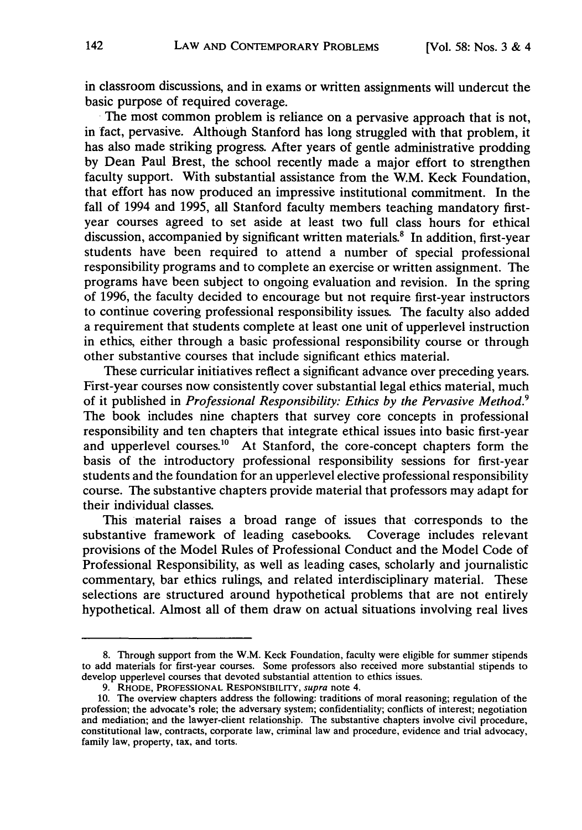in classroom discussions, and in exams or written assignments will undercut the basic purpose of required coverage. The most common problem is reliance on a pervasive approach that is not,

in fact, pervasive. Although Stanford has long struggled with that problem, it has also made striking progress. After years of gentle administrative prodding by Dean Paul Brest, the school recently made a major effort to strengthen faculty support. With substantial assistance from the W.M. Keck Foundation, that effort has now produced an impressive institutional commitment. In the fall of 1994 and 1995, all Stanford faculty members teaching mandatory firstyear courses agreed to set aside at least two full class hours for ethical discussion, accompanied by significant written materials.<sup>8</sup> In addition, first-year students have been required to attend a number of special professional responsibility programs and to complete an exercise or written assignment. The programs have been subject to ongoing evaluation and revision. In the spring of 1996, the faculty decided to encourage but not require first-year instructors to continue covering professional responsibility issues. The faculty also added a requirement that students complete at least one unit of upperlevel instruction in ethics, either through a basic professional responsibility course or through other substantive courses that include significant ethics material.

These curricular initiatives reflect a significant advance over preceding years. First-year courses now consistently cover substantial legal ethics material, much of it published in *Professional Responsibility: Ethics by the Pervasive Method.9* The book includes nine chapters that survey core concepts in professional responsibility and ten chapters that integrate ethical issues into basic first-year and upperlevel courses.<sup>10</sup> At Stanford, the core-concept chapters form the basis of the introductory professional responsibility sessions for first-year students and the foundation for an upperlevel elective professional responsibility course. The substantive chapters provide material that professors may adapt for their individual classes.

This material raises a broad range of issues that corresponds to the substantive framework of leading casebooks. Coverage includes relevant provisions of the Model Rules of Professional Conduct and the Model Code of Professional Responsibility, as well as leading cases, scholarly and journalistic commentary, bar ethics rulings, and related interdisciplinary material. These selections are structured around hypothetical problems that are not entirely hypothetical. Almost all of them draw on actual situations involving real lives

<sup>8.</sup> Through support from the W.M. Keck Foundation, faculty were eligible for summer stipends to add materials for first-year courses. Some professors also received more substantial stipends to develop upperlevel courses that devoted substantial attention to ethics issues.

<sup>9.</sup> RHODE, PROFESSIONAL RESPONSIBILITY, supra note 4.

<sup>10.</sup> The overview chapters address the following: traditions of moral reasoning; regulation of the profession; the advocate's role; the adversary system; confidentiality; conflicts of interest; negotiation and mediation; and the lawyer-client relationship. The substantive chapters involve civil procedure, constitutional law, contracts, corporate law, criminal law and procedure, evidence and trial advocacy, family law, property, tax, and torts.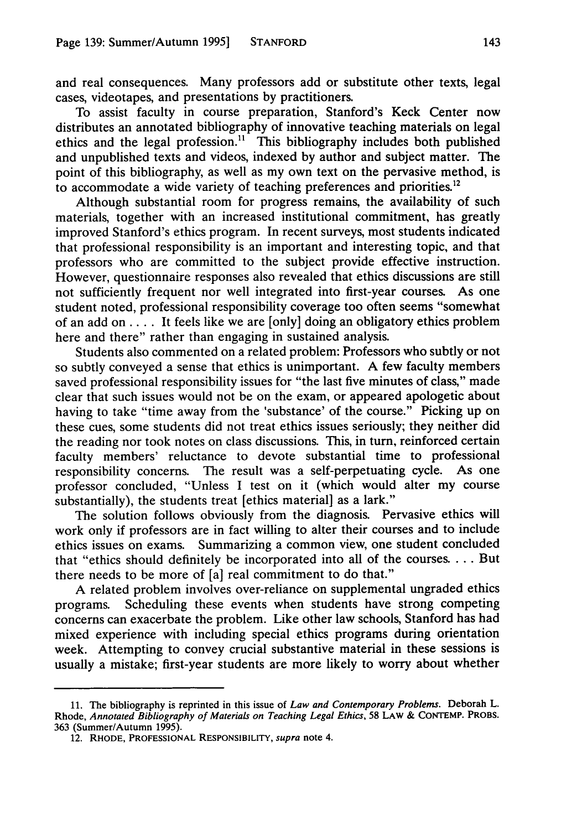and real consequences. Many professors add or substitute other texts, legal cases, videotapes, and presentations by practitioners.

To assist faculty in course preparation, Stanford's Keck Center now distributes an annotated bibliography of innovative teaching materials on legal ethics and the legal profession.<sup>11</sup> This bibliography includes both published and unpublished texts and videos, indexed by author and subject matter. The point of this bibliography, as well as my own text on the pervasive method, is to accommodate a wide variety of teaching preferences and priorities.<sup>12</sup>

Although substantial room for progress remains, the availability of such materials, together with an increased institutional commitment, has greatly improved Stanford's ethics program. In recent surveys, most students indicated that professional responsibility is an important and interesting topic, and that professors who are committed to the subject provide effective instruction. However, questionnaire responses also revealed that ethics discussions are still not sufficiently frequent nor well integrated into first-year courses. As one student noted, professional responsibility coverage too often seems "somewhat of an add **on..** . . It feels like we are [only] doing an obligatory ethics problem here and there" rather than engaging in sustained analysis.

Students also commented on a related problem: Professors who subtly or not so subtly conveyed a sense that ethics is unimportant. A few faculty members saved professional responsibility issues for "the last five minutes of class," made clear that such issues would not be on the exam, or appeared apologetic about having to take "time away from the 'substance' of the course." Picking up on these cues, some students did not treat ethics issues seriously; they neither did the reading nor took notes on class discussions. This, in turn, reinforced certain faculty members' reluctance to devote substantial time to professional responsibility concerns. The result was a self-perpetuating cycle. As one professor concluded, "Unless I test on it (which would alter my course substantially), the students treat [ethics material] as a lark."

The solution follows obviously from the diagnosis. Pervasive ethics will work only if professors are in fact willing to alter their courses and to include ethics issues on exams. Summarizing a common view, one student concluded that "ethics should definitely be incorporated into all of the courses. **. .** . But there needs to be more of [a] real commitment to do that."

A related problem involves over-reliance on supplemental ungraded ethics programs. Scheduling these events when students have strong competing concerns can exacerbate the problem. Like other law schools, Stanford has had mixed experience with including special ethics programs during orientation week. Attempting to convey crucial substantive material in these sessions is usually a mistake; first-year students are more likely to worry about whether

**<sup>11.</sup>** The bibliography is reprinted in this issue of *Law and Contemporary Problems.* Deborah L. Rhode, *Annotated Bibliography of Materials on Teaching Legal Ethics,* 58 LAW & CONTEMP. PROBS. 363 (Summer/Autumn 1995).

<sup>12.</sup> RHODE, **PROFESSIONAL** RESPONSIBILITY, supra note 4.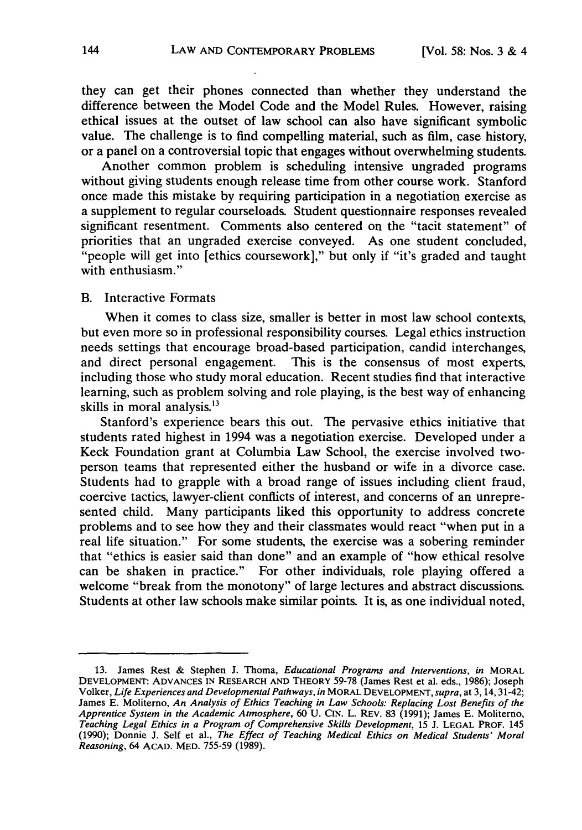they can get their phones connected than whether they understand the difference between the Model Code and the Model Rules. However, raising ethical issues at the outset of law school can also have significant symbolic value. The challenge is to find compelling material, such as film, case history, or a panel on a controversial topic that engages without overwhelming students.

Another common problem is scheduling intensive ungraded programs without giving students enough release time from other course work. Stanford once made this mistake by requiring participation in a negotiation exercise as a supplement to regular courseloads. Student questionnaire responses revealed significant resentment. Comments also centered on the "tacit statement" of priorities that an ungraded exercise conveyed. As one student concluded, "people will get into [ethics coursework]," but only if "it's graded and taught with enthusiasm."

# B. Interactive Formats

When it comes to class size, smaller is better in most law school contexts, but even more so in professional responsibility courses. Legal ethics instruction needs settings that encourage broad-based participation, candid interchanges, and direct personal engagement. This is the consensus of most experts, including those who study moral education. Recent studies find that interactive learning, such as problem solving and role playing, is the best way of enhancing skills in moral analysis.<sup>13</sup>

Stanford's experience bears this out. The pervasive ethics initiative that students rated highest in 1994 was a negotiation exercise. Developed under a Keck Foundation grant at Columbia Law School, the exercise involved twoperson teams that represented either the husband or wife in a divorce case. Students had to grapple with a broad range of issues including client fraud, coercive tactics, lawyer-client conflicts of interest, and concerns of an unrepresented child. Many participants liked this opportunity to address concrete problems and to see how they and their classmates would react "when put in a real life situation." For some students, the exercise was a sobering reminder that "ethics is easier said than done" and an example of "how ethical resolve can be shaken in practice." For other individuals, role playing offered a welcome "break from the monotony" of large lectures and abstract discussions. Students at other law schools make similar points. It is, as one individual noted,

**<sup>13.</sup>** James Rest **&** Stephen **J.** Thoma, *Educational Programs and Interventions, in* MORAL **DEVELOPMENT: ADVANCES IN** RESEARCH **AND** THEORY **59-78** (James Rest et al. eds., **1986);** Joseph Volker, *Life Experiences and Developmental Pathways, in* MORAL **DEVELOPMENT,** *supra,* at 3, 14,31-42; James **E.** Molitemo, *An Analysis of Ethics Teaching in Law Schools: Replacing Lost Benefits of the Apprentice System in the Academic Atmosphere,* **60 U. CIN.** L. REV. **83 (1991);** James **E.** Moliterno, *Teaching Legal Ethics in a Program of Comprehensive Skills Development,* **15 J. LEGAL** PROF. 145 **(1990);** Donnie **J.** Self et al., *The Effect of Teaching Medical Ethics on Medical Students' Moral Reasoning,* 64 **ACAD. MED. 755-59 (1989).**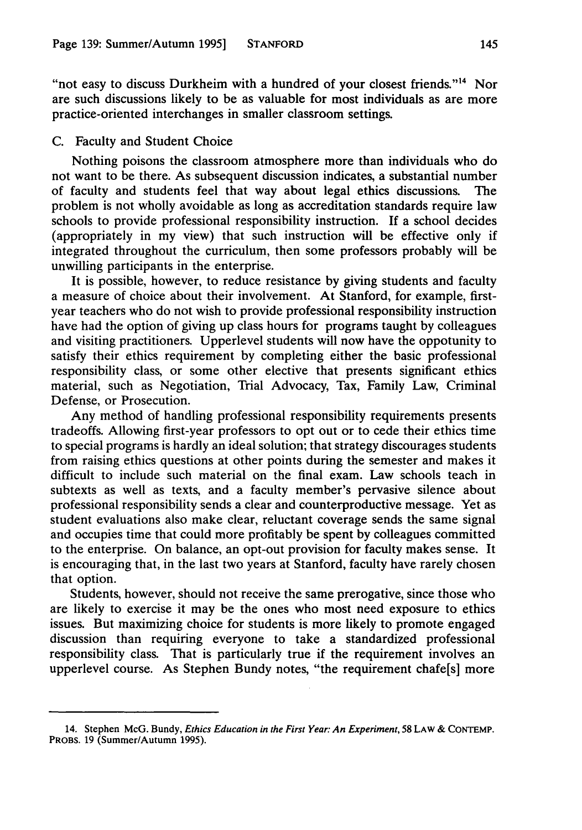"not easy to discuss Durkheim with a hundred of your closest friends."<sup>14</sup> Nor are such discussions likely to be as valuable for most individuals as are more practice-oriented interchanges in smaller classroom settings.

# C. Faculty and Student Choice

Nothing poisons the classroom atmosphere more than individuals who do not want to be there. As subsequent discussion indicates, a substantial number of faculty and students feel that way about legal ethics discussions. The problem is not wholly avoidable as long as accreditation standards require law schools to provide professional responsibility instruction. If a school decides (appropriately in my view) that such instruction will be effective only if integrated throughout the curriculum, then some professors probably will be unwilling participants in the enterprise.

It is possible, however, to reduce resistance by giving students and faculty a measure of choice about their involvement. At Stanford, for example, firstyear teachers who do not wish to provide professional responsibility instruction have had the option of giving up class hours for programs taught by colleagues and visiting practitioners. Upperlevel students will now have the oppotunity to satisfy their ethics requirement by completing either the basic professional responsibility class, or some other elective that presents significant ethics material, such as Negotiation, Trial Advocacy, Tax, Family Law, Criminal Defense, or Prosecution.

Any method of handling professional responsibility requirements presents tradeoffs. Allowing first-year professors to opt out or to cede their ethics time to special programs is hardly an ideal solution; that strategy discourages students from raising ethics questions at other points during the semester and makes it difficult to include such material on the final exam. Law schools teach in subtexts as well as texts, and a faculty member's pervasive silence about professional responsibility sends a clear and counterproductive message. Yet as student evaluations also make clear, reluctant coverage sends the same signal and occupies time that could more profitably be spent by colleagues committed to the enterprise. On balance, an opt-out provision for faculty makes sense. It is encouraging that, in the last two years at Stanford, faculty have rarely chosen that option.

Students, however, should not receive the same prerogative, since those who are likely to exercise it may be the ones who most need exposure to ethics issues. But maximizing choice for students is more likely to promote engaged discussion than requiring everyone to take a standardized professional responsibility class. That is particularly true if the requirement involves an upperlevel course. As Stephen Bundy notes, "the requirement chafe[s] more

<sup>14.</sup> Stephen McG. Bundy, Ethics *Education in the First Year: An Experiment,* **58** LAW & CONTEMP. PROBS. **19** (Summer/Autumn 1995).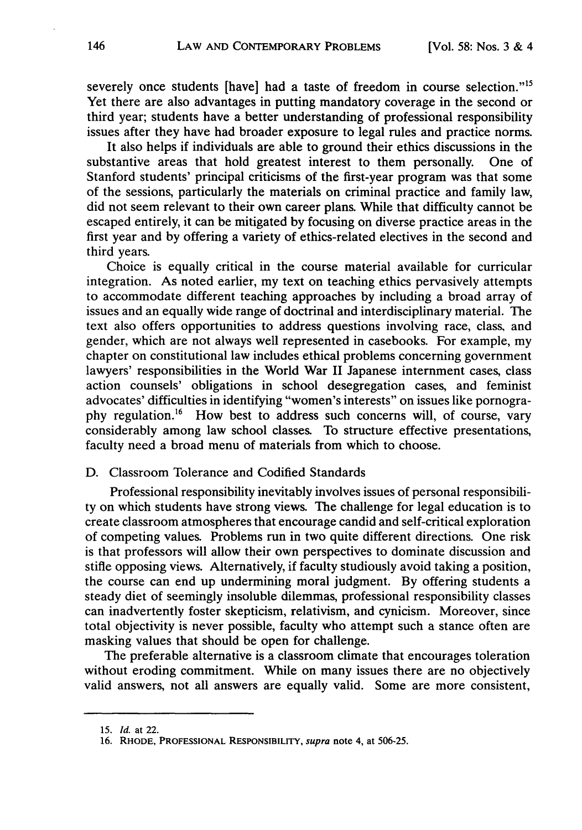severely once students [have] had a taste of freedom in course selection."<sup>15</sup> Yet there are also advantages in putting mandatory coverage in the second or third year; students have a better understanding of professional responsibility issues after they have had broader exposure to legal rules and practice norms.

It also helps if individuals are able to ground their ethics discussions in the substantive areas that hold greatest interest to them personally. One of Stanford students' principal criticisms of the first-year program was that some of the sessions, particularly the materials on criminal practice and family law, did not seem relevant to their own career plans. While that difficulty cannot be escaped entirely, it can be mitigated by focusing on diverse practice areas in the first year and by offering a variety of ethics-related electives in the second and third years.

Choice is equally critical in the course material available for curricular integration. As noted earlier, my text on teaching ethics pervasively attempts to accommodate different teaching approaches by including a broad array of issues and an equally wide range of doctrinal and interdisciplinary material. The text also offers opportunities to address questions involving race, class, and gender, which are not always well represented in casebooks. For example, my chapter on constitutional law includes ethical problems concerning government lawyers' responsibilities in the World War II Japanese internment cases, class action counsels' obligations in school desegregation cases, and feminist advocates' difficulties in identifying "women's interests" on issues like pornography regulation.<sup>16</sup> How best to address such concerns will, of course, vary considerably among law school classes. To structure effective presentations, faculty need a broad menu of materials from which to choose.

#### D. Classroom Tolerance and Codified Standards

Professional responsibility inevitably involves issues of personal responsibility on which students have strong views. The challenge for legal education is to create classroom atmospheres that encourage candid and self-critical exploration of competing values. Problems run in two quite different directions. One risk is that professors will allow their own perspectives to dominate discussion and stifle opposing views. Alternatively, if faculty studiously avoid taking a position, the course can end up undermining moral judgment. By offering students a steady diet of seemingly insoluble dilemmas, professional responsibility classes can inadvertently foster skepticism, relativism, and cynicism. Moreover, since total objectivity is never possible, faculty who attempt such a stance often are masking values that should be open for challenge.

The preferable alternative is a classroom climate that encourages toleration without eroding commitment. While on many issues there are no objectively valid answers, not all answers are equally valid. Some are more consistent,

**<sup>15.</sup>** *Id.* at 22.

<sup>16.</sup> RHODE, **PROFESSIONAL** RESPONSIBILITY, supra note 4, at 506-25.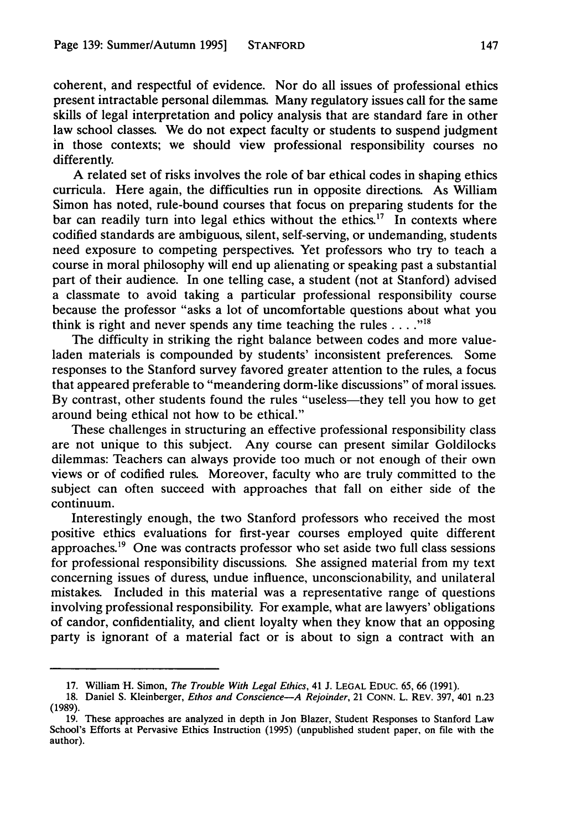coherent, and respectful of evidence. Nor do all issues of professional ethics present intractable personal dilemmas. Many regulatory issues call for the same skills of legal interpretation and policy analysis that are standard fare in other law school classes. We do not expect faculty or students to suspend judgment in those contexts; we should view professional responsibility courses no differently.

A related set of risks involves the role of bar ethical codes in shaping ethics curricula. Here again, the difficulties run in opposite directions. As William Simon has noted, rule-bound courses that focus on preparing students for the bar can readily turn into legal ethics without the ethics.<sup>17</sup> In contexts where codified standards are ambiguous, silent, self-serving, or undemanding, students need exposure to competing perspectives. Yet professors who try to teach a course in moral philosophy will end up alienating or speaking past a substantial part of their audience. In one telling case, a student (not at Stanford) advised a classmate to avoid taking a particular professional responsibility course because the professor "asks a lot of uncomfortable questions about what you think is right and never spends any time teaching the rules  $\dots$ <sup>18</sup>

The difficulty in striking the right balance between codes and more valueladen materials is compounded by students' inconsistent preferences. Some responses to the Stanford survey favored greater attention to the rules, a focus that appeared preferable to "meandering dorm-like discussions" of moral issues. By contrast, other students found the rules "useless—they tell you how to get around being ethical not how to be ethical."

These challenges in structuring an effective professional responsibility class are not unique to this subject. Any course can present similar Goldilocks dilemmas: Teachers can always provide too much or not enough of their own views or of codified rules. Moreover, faculty who are truly committed to the subject can often succeed with approaches that fall on either side of the continuum.

Interestingly enough, the two Stanford professors who received the most positive ethics evaluations for first-year courses employed quite different approaches.<sup>19</sup> One was contracts professor who set aside two full class sessions for professional responsibility discussions. She assigned material from my text concerning issues of duress, undue influence, unconscionability, and unilateral mistakes. Included in this material was a representative range of questions involving professional responsibility. For example, what are lawyers' obligations of candor, confidentiality, and client loyalty when they know that an opposing party is ignorant of a material fact or is about to sign a contract with an

<sup>17.</sup> William H. Simon, *The Trouble With Legal Ethics,* 41 J. LEGAL EDUC. **65, 66** (1991).

<sup>18.</sup> Daniel S. Kleinberger, *Ethos and Conscience-A Rejoinder,* 21 CONN. L. REV. 397, 401 n.23 (1989).

<sup>19.</sup> These approaches are analyzed in depth in Jon Blazer, Student Responses to Stanford Law School's Efforts at Pervasive Ethics Instruction (1995) (unpublished student paper, on file with the author).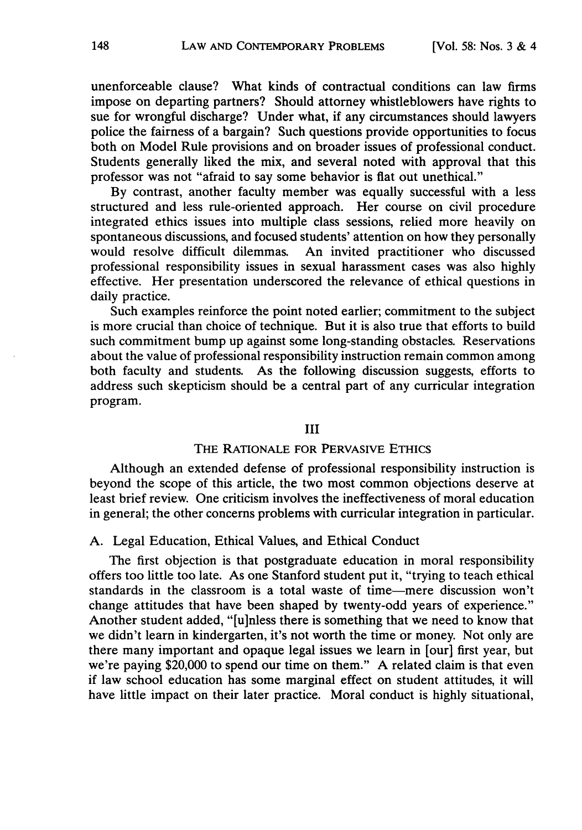unenforceable clause? What kinds of contractual conditions can law firms impose on departing partners? Should attorney whistleblowers have rights to sue for wrongful discharge? Under what, if any circumstances should lawyers police the fairness of a bargain? Such questions provide opportunities to focus both on Model Rule provisions and on broader issues of professional conduct. Students generally liked the mix, and several noted with approval that this professor was not "afraid to say some behavior is flat out unethical."

By contrast, another faculty member was equally successful with a less structured and less rule-oriented approach. Her course on civil procedure integrated ethics issues into multiple class sessions, relied more heavily on spontaneous discussions, and focused students' attention on how they personally would resolve difficult dilemmas. An invited practitioner who discussed professional responsibility issues in sexual harassment cases was also highly effective. Her presentation underscored the relevance of ethical questions in daily practice.

Such examples reinforce the point noted earlier; commitment to the subject is more crucial than choice of technique. But it is also true that efforts to build such commitment bump up against some long-standing obstacles. Reservations about the value of professional responsibility instruction remain common among both faculty and students. As the following discussion suggests, efforts to address such skepticism should be a central part of any curricular integration program.

#### III

# THE RATIONALE FOR PERVASIVE ETHICS

Although an extended defense of professional responsibility instruction is beyond the scope of this article, the two most common objections deserve at least brief review. One criticism involves the ineffectiveness of moral education in general; the other concerns problems with curricular integration in particular.

# A. Legal Education, Ethical Values, and Ethical Conduct

The first objection is that postgraduate education in moral responsibility offers too little too late. As one Stanford student put it, "trying to teach ethical standards in the classroom is a total waste of time-mere discussion won't change attitudes that have been shaped by twenty-odd years of experience." Another student added, "[u]nless there is something that we need to know that we didn't learn in kindergarten, it's not worth the time or money. Not only are there many important and opaque legal issues we learn in [our] first year, but we're paying \$20,000 to spend our time on them." A related claim is that even if law school education has some marginal effect on student attitudes, it will have little impact on their later practice. Moral conduct is highly situational,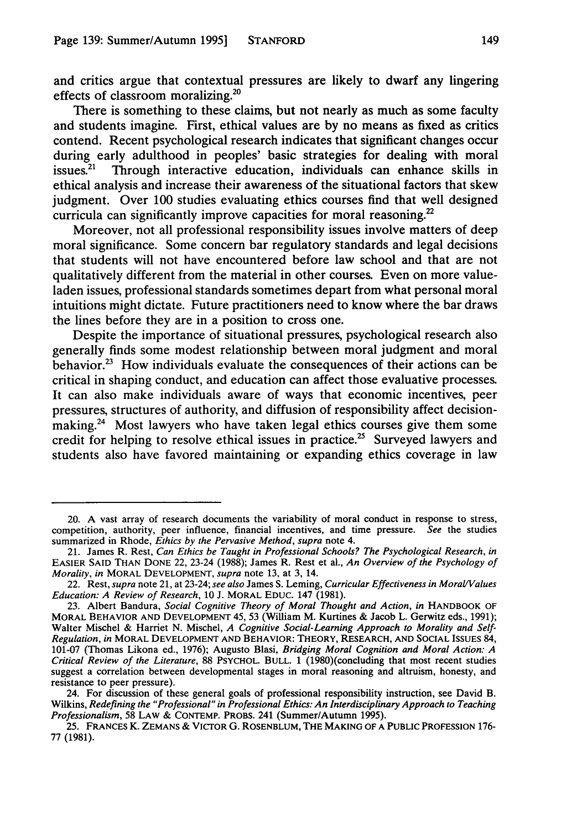and critics argue that contextual pressures are likely to dwarf any lingering effects of classroom moralizing.<sup>20</sup>

There is something to these claims, but not nearly as much as some faculty and students imagine. First, ethical values are by no means as fixed as critics contend. Recent psychological research indicates that significant changes occur during early adulthood in peoples' basic strategies for dealing with moral issues.<sup>21</sup> Through interactive education, individuals can enhance skills in ethical analysis and increase their awareness of the situational factors that skew judgment. Over 100 studies evaluating ethics courses find that well designed curricula can significantly improve capacities for moral reasoning.<sup>22</sup>

Moreover, not all professional responsibility issues involve matters of deep moral significance. Some concern bar regulatory standards and legal decisions that students will not have encountered before law school and that are not qualitatively different from the material in other courses. Even on more valueladen issues, professional standards sometimes depart from what personal moral intuitions might dictate. Future practitioners need to know where the bar draws the lines before they are in a position to cross one.

Despite the importance of situational pressures, psychological research also generally finds some modest relationship between moral judgment and moral behavior.<sup>23</sup> How individuals evaluate the consequences of their actions can be critical in shaping conduct, and education can affect those evaluative processes. It can also make individuals aware of ways that economic incentives, peer pressures, structures of authority, and diffusion of responsibility affect decisionmaking.<sup>24</sup> Most lawyers who have taken legal ethics courses give them some credit for helping to resolve ethical issues in practice.<sup>25</sup> Surveyed lawyers and students also have favored maintaining or expanding ethics coverage in law

<sup>20.</sup> A vast array of research documents the variability of moral conduct in response to stress, competition, authority, peer influence, financial incentives, and time pressure. *See* the studies summarized in Rhode, *Ethics by the Pervasive Method, supra* note 4.

<sup>21.</sup> James R. Rest, *Can Ethics be Taught in Professional Schools? The Psychological Research, in* EASIER SAID THAN DONE 22, 23-24 (1988); James R. Rest et al., *An Overview of the Psychology of Morality, in* MORAL DEVELOPMENT, *supra* note 13, at 3, 14.

<sup>22.</sup> Rest, *supra* note 21, at 23-24; *see also* James S. Leming, *Curricular Effectiveness in Moral/Values Education: A Review of Research,* 10 J. MORAL EDUC. 147 (1981).

<sup>23.</sup> Albert Bandura, *Social Cognitive Theory of Moral Thought and Action*, in HANDBOOK OF MORAL BEHAVIOR **AND DEVELOPMENT** 45, 53 (William M. Kurtines & Jacob L. Gerwitz eds., 1991); Walter Mischel & Harriet N. Mischel, *A Cognitive Social-Learning Approach to Morality and Self-Regulation, in* MORAL DEVELOPMENT AND BEHAVIOR: THEORY, RESEARCH, AND SOCIAL ISSUES 84, 101-07 (Thomas Likona ed., 1976); Augusto Blasi, *Bridging Moral Cognition and Moral Action: A Critical Review of the Literature,* 88 PSYCHOL. BULL. 1 (1980)(concluding that most recent studies suggest a correlation between developmental stages in moral reasoning and altruism, honesty, and resistance to peer pressure).

<sup>24.</sup> For discussion of these general goals of professional responsibility instruction, see David B. Wilkins, *Redefining the "Professional" in Professional Ethics: An Interdisciplinary Approach to Teaching Professionalism,* 58 LAW & CONTEMP. PROBS. 241 (Summer/Autumn 1995).

**<sup>25.</sup>** FRANCES K. ZEMANS & VICTOR **G.** ROSENBLUM, THE MAKING OF **A** PUBLIC PROFESSION 176- 77 (1981).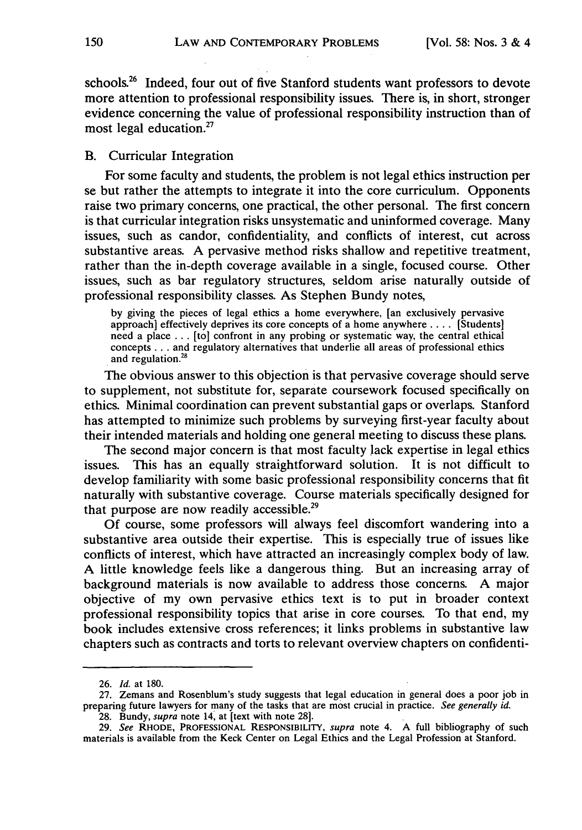schools.<sup>26</sup> Indeed, four out of five Stanford students want professors to devote more attention to professional responsibility issues. There is, in short, stronger evidence concerning the value of professional responsibility instruction than of most legal education.<sup>27</sup>

# B. Curricular Integration

For some faculty and students, the problem is not legal ethics instruction per se but rather the attempts to integrate it into the core curriculum. Opponents raise two primary concerns, one practical, the other personal. The first concern is that curricular integration risks unsystematic and uninformed coverage. Many issues, such as candor, confidentiality, and conflicts of interest, cut across substantive areas. A pervasive method risks shallow and repetitive treatment, rather than the in-depth coverage available in a single, focused course. Other issues, such as bar regulatory structures, seldom arise naturally outside of professional responsibility classes. As Stephen Bundy notes,

by giving the pieces of legal ethics a home everywhere, [an exclusively pervasive approach] effectively deprives its core concepts of a home anywhere .... [Students] need a place ... [to] confront in any probing or systematic way, the central ethical concepts.., and regulatory alternatives that underlie all areas of professional ethics and regulation.<sup>28</sup>

The obvious answer to this objection is that pervasive coverage should serve to supplement, not substitute for, separate coursework focused specifically on ethics. Minimal coordination can prevent substantial gaps or overlaps. Stanford has attempted to minimize such problems by surveying first-year faculty about their intended materials and holding one general meeting to discuss these plans.

The second major concern is that most faculty lack expertise in legal ethics issues. This has an equally straightforward solution. It is not difficult to develop familiarity with some basic professional responsibility concerns that fit naturally with substantive coverage. Course materials specifically designed for that purpose are now readily accessible.<sup>29</sup>

Of course, some professors will always feel discomfort wandering into a substantive area outside their expertise. This is especially true of issues like conflicts of interest, which have attracted an increasingly complex body of law. A little knowledge feels like a dangerous thing. But an increasing array of background materials is now available to address those concerns. A major objective of my own pervasive ethics text is to put in broader context professional responsibility topics that arise in core courses. To that end, my book includes extensive cross references; it links problems in substantive law chapters such as contracts and torts to relevant overview chapters on confidenti-

<sup>26.</sup> *Id.* at 180.

<sup>27.</sup> Zemans and Rosenblum's study suggests that legal education in general does a poor job in preparing future lawyers for many of the tasks that are most crucial in practice. *See generally id.* 28. Bundy, *supra* note 14, at [text with note 28].

<sup>29.</sup> *See* RHODE, PROFESSIONAL RESPONSIBILITY, *supra* note 4. A full bibliography of such materials is available from the Keck Center on Legal Ethics and the Legal Profession at Stanford.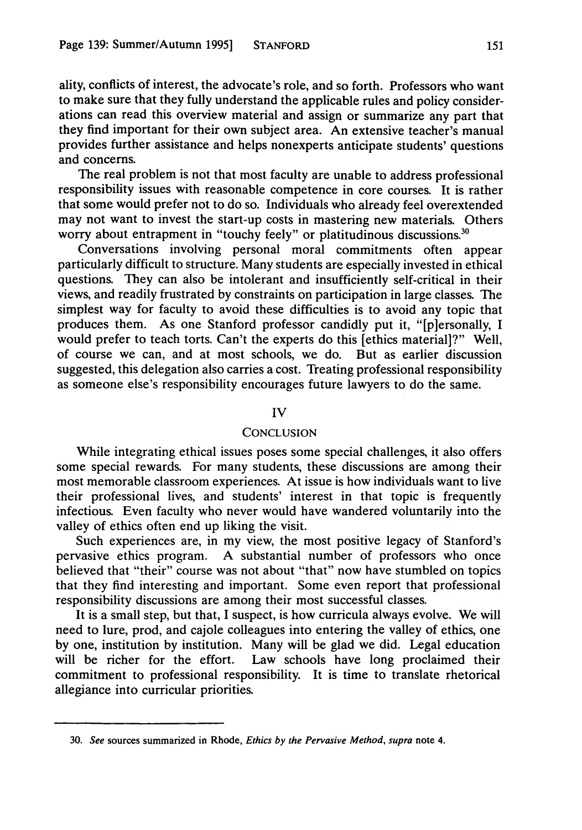ality, conflicts of interest, the advocate's role, and so forth. Professors who want to make sure that they fully understand the applicable rules and policy considerations can read this overview material and assign or summarize any part that they find important for their own subject area. An extensive teacher's manual provides further assistance and helps nonexperts anticipate students' questions and concerns.

The real problem is not that most faculty are unable to address professional responsibility issues with reasonable competence in core courses. It is rather that some would prefer not to do so. Individuals who already feel overextended may not want to invest the start-up costs in mastering new materials. Others worry about entrapment in "touchy feely" or platitudinous discussions.<sup>30</sup>

Conversations involving personal moral commitments often appear particularly difficult to structure. Many students are especially invested in ethical questions. They can also be intolerant and insufficiently self-critical in their views, and readily frustrated by constraints on participation in large classes. The simplest way for faculty to avoid these difficulties is to avoid any topic that produces them. As one Stanford professor candidly put it, "[p]ersonally, I would prefer to teach torts. Can't the experts do this [ethics material]?" Well, of course we can, and at most schools, we do. But as earlier discussion suggested, this delegation also carries a cost. Treating professional responsibility as someone else's responsibility encourages future lawyers to do the same.

#### IV

#### **CONCLUSION**

While integrating ethical issues poses some special challenges, it also offers some special rewards. For many students, these discussions are among their most memorable classroom experiences. At issue is how individuals want to live their professional lives, and students' interest in that topic is frequently infectious. Even faculty who never would have wandered voluntarily into the valley of ethics often end up liking the visit.

Such experiences are, in my view, the most positive legacy of Stanford's pervasive ethics program. A substantial number of professors who once believed that "their" course was not about "that" now have stumbled on topics that they find interesting and important. Some even report that professional responsibility discussions are among their most successful classes.

It is a small step, but that, I suspect, is how curricula always evolve. We will need to lure, prod, and cajole colleagues into entering the valley of ethics, one by one, institution by institution. Many will be glad we did. Legal education will be richer for the effort. Law schools have long proclaimed their commitment to professional responsibility. It is time to translate rhetorical allegiance into curricular priorities.

<sup>30.</sup> *See* sources summarized in Rhode, *Ethics by the Pervasive Method, supra* note 4.